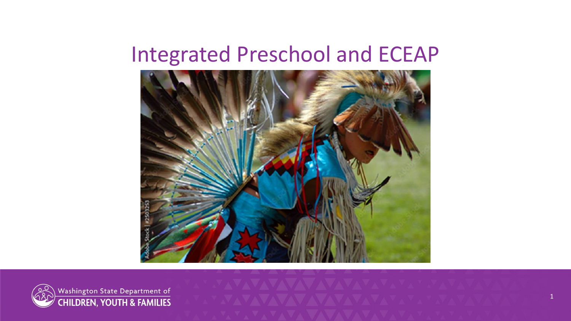#### Integrated Preschool and ECEAP





Washington State Department of<br>CHILDREN, YOUTH & FAMILIES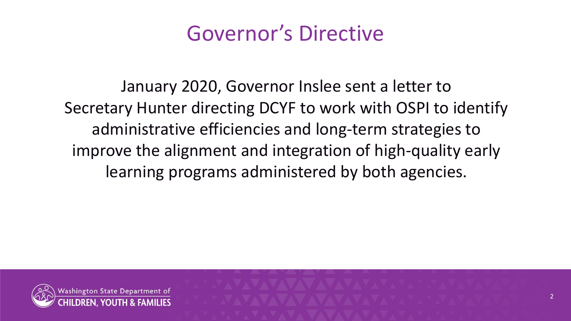### Governor's Directive

January 2020, Governor Inslee sent a letter to Secretary Hunter directing DCYF to work with OSPI to identify administrative efficiencies and long-term strategies to improve the alignment and integration of high-quality early learning programs administered by both agencies.

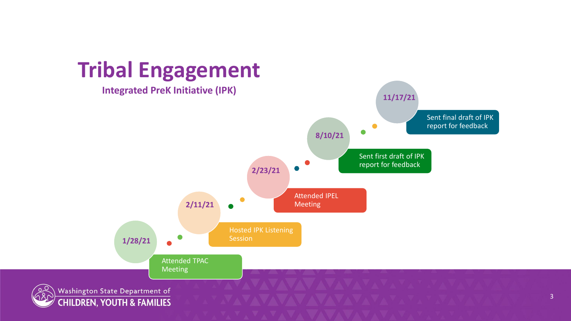

3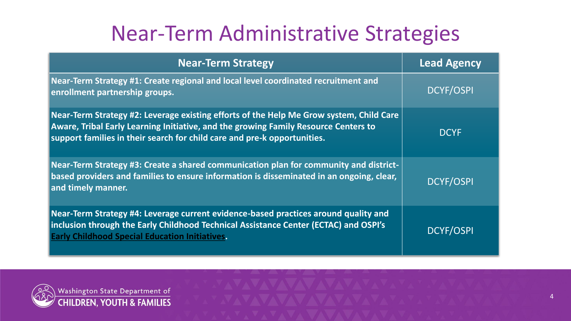## Near-Term Administrative Strategies

| <b>Near-Term Strategy</b>                                                                                                                                                                                                                                         | <b>Lead Agency</b> |
|-------------------------------------------------------------------------------------------------------------------------------------------------------------------------------------------------------------------------------------------------------------------|--------------------|
| Near-Term Strategy #1: Create regional and local level coordinated recruitment and<br>enrollment partnership groups.                                                                                                                                              | <b>DCYF/OSPI</b>   |
| Near-Term Strategy #2: Leverage existing efforts of the Help Me Grow system, Child Care<br><b>Aware, Tribal Early Learning Initiative, and the growing Family Resource Centers to</b><br>support families in their search for child care and pre-k opportunities. | <b>DCYF</b>        |
| Near-Term Strategy #3: Create a shared communication plan for community and district-<br>based providers and families to ensure information is disseminated in an ongoing, clear,<br>and timely manner.                                                           | <b>DCYF/OSPI</b>   |
| Near-Term Strategy #4: Leverage current evidence-based practices around quality and<br>inclusion through the Early Childhood Technical Assistance Center (ECTAC) and OSPI's<br><b>Early Childhood Special Education Initiatives.</b>                              | <b>DCYF/OSPI</b>   |

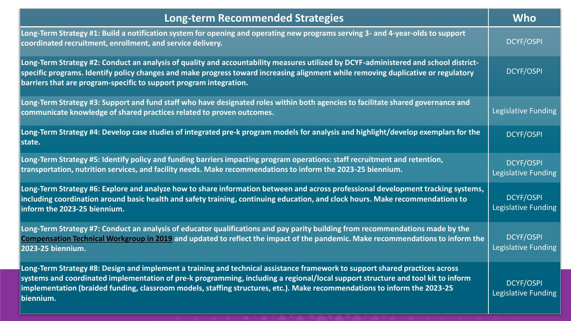| <b>Long-term Recommended Strategies</b>                                                                                                                                                                                                                                                                                                                                                                    | <b>Who</b>                                     |
|------------------------------------------------------------------------------------------------------------------------------------------------------------------------------------------------------------------------------------------------------------------------------------------------------------------------------------------------------------------------------------------------------------|------------------------------------------------|
| Long-Term Strategy #1: Build a notification system for opening and operating new programs serving 3- and 4-year-olds to support<br>coordinated recruitment, enrollment, and service delivery.                                                                                                                                                                                                              | <b>DCYF/OSPI</b>                               |
| Long-Term Strategy #2: Conduct an analysis of quality and accountability measures utilized by DCYF-administered and school district-<br>specific programs. Identify policy changes and make progress toward increasing alignment while removing duplicative or regulatory<br>barriers that are program-specific to support program integration.                                                            | <b>DCYF/OSPI</b>                               |
| Long-Term Strategy #3: Support and fund staff who have designated roles within both agencies to facilitate shared governance and<br>communicate knowledge of shared practices related to proven outcomes.                                                                                                                                                                                                  | Legislative Funding                            |
| Long-Term Strategy #4: Develop case studies of integrated pre-k program models for analysis and highlight/develop exemplars for the<br>state.                                                                                                                                                                                                                                                              | <b>DCYF/OSPI</b>                               |
| Long-Term Strategy #5: Identify policy and funding barriers impacting program operations: staff recruitment and retention,<br>transportation, nutrition services, and facility needs. Make recommendations to inform the 2023-25 biennium.                                                                                                                                                                 | <b>DCYF/OSPI</b><br><b>Legislative Funding</b> |
| Long-Term Strategy #6: Explore and analyze how to share information between and across professional development tracking systems,<br>including coordination around basic health and safety training, continuing education, and clock hours. Make recommendations to<br>inform the 2023-25 biennium.                                                                                                        | <b>DCYF/OSPI</b><br>Legislative Funding        |
| Long-Term Strategy #7: Conduct an analysis of educator qualifications and pay parity building from recommendations made by the<br>Compensation Technical Workgroup in 2019 and updated to reflect the impact of the pandemic. Make recommendations to inform the<br>2023-25 biennium.                                                                                                                      | <b>DCYF/OSPI</b><br>Legislative Funding        |
| Long-Term Strategy #8: Design and implement a training and technical assistance framework to support shared practices across<br>systems and coordinated implementation of pre-k programming, including a regional/local support structure and tool kit to inform<br>implementation (braided funding, classroom models, staffing structures, etc.). Make recommendations to inform the 2023-25<br>biennium. | <b>DCYF/OSPI</b><br>Legislative Funding        |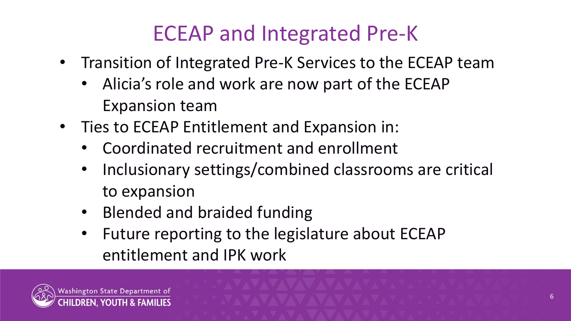# ECEAP and Integrated Pre-K

- Transition of Integrated Pre-K Services to the ECEAP team
	- Alicia's role and work are now part of the ECEAP Expansion team
- Ties to ECEAP Entitlement and Expansion in:
	- Coordinated recruitment and enrollment
	- Inclusionary settings/combined classrooms are critical to expansion
	- Blended and braided funding
	- Future reporting to the legislature about ECEAP entitlement and IPK work

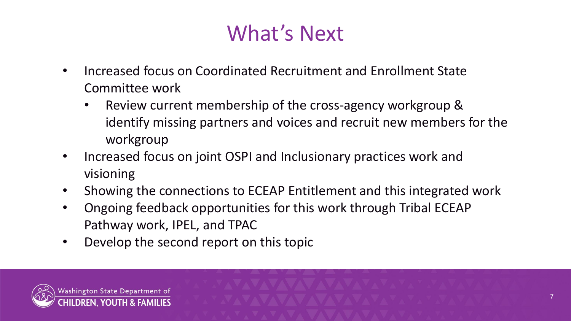## What's Next

- Increased focus on Coordinated Recruitment and Enrollment State Committee work
	- Review current membership of the cross-agency workgroup & identify missing partners and voices and recruit new members for the workgroup
- Increased focus on joint OSPI and Inclusionary practices work and visioning
- Showing the connections to ECEAP Entitlement and this integrated work
- Ongoing feedback opportunities for this work through Tribal ECEAP Pathway work, IPEL, and TPAC
- Develop the second report on this topic